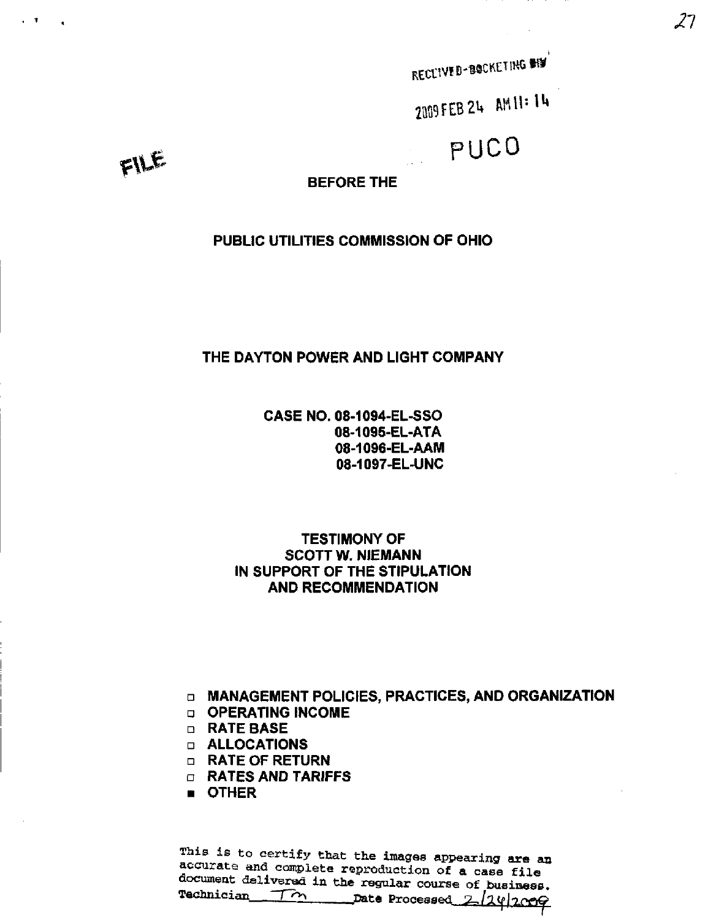RECEIVED-BOCKETING WI

2009 FEB 24 AM 11: 14

PUCO

FILE

 $\mathbf{v}=\mathbf{U}$  .

BEFORE THE

PUBLIC UTILITIES COMMISSION OF OHIO

# THE DAYTON POWER AND LIGHT COMPANY

CASE NO. 08-1094-EL-SSO 08-1095-EL-ATA 08-1096-EL-AAM 08-1097-EL-UNC

TESTIMONY OF SCOTT W. NIEMANN IN SUPPORT OF THE STIPULATION AND RECOMMENDATION

D MANAGEMENT POLICIES, PRACTICES, AND ORGANIZATION

- a OPERATING INCOME
- D RATE BASE
- D ALLOCATIONS
- **n** RATE OF RETURN
- D RATES AND TARIFFS
- OTHER

This is to certify that the images appearing are an accurate and complete raproduction of a case file document delivered in the regular course of business.<br>Technician  $\overline{f}$   $\gamma$  bate Processed  $\overline{f}$  (10) Date Processed 2/24/2009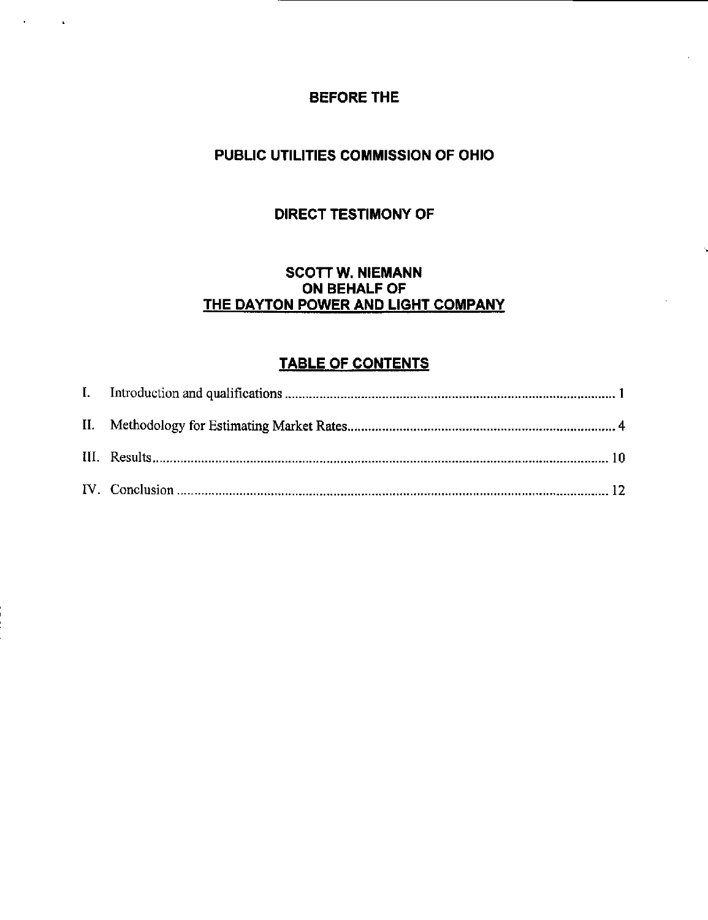# BEFORE THE

 $\mathbf{A}^{\text{max}}$  and  $\mathbf{A}^{\text{max}}$ 

# PUBLIC UTILITIES COMMISSION OF OHIO

# DIRECT TESTIMONY OF

# SCOTT W. NIEMANN ON BEHALF OF THE DAYTON POWER AND LIGHT COMPANY

# TABLE OF CONTENTS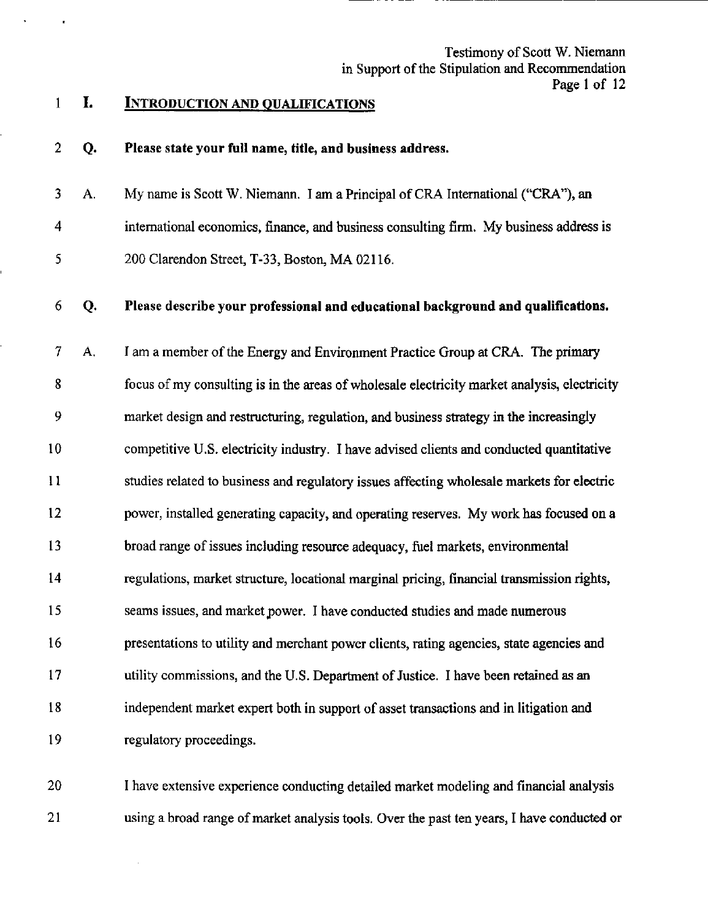# 1 I. INTRODUCTION AND OUALIFICATIONS

# 2 Q. Please state your full name, title, and business address.

3 A. My name is Scott W. Niemann. I am a Principal of CRA International ("CRA"), an 4 international economics, finance, and business consulting firm. My business address is 5 200 Clarendon Street, T-33, Boston, MA 02116.

# 6 Q. Please describe your professional and educational background and qualifications.

7 A. I am a member of the Energy and Environment Practice Group at CRA. The primary 8 focus of my consulting is in the areas of wholesale electricity market analysis, electricity 9 market design and restructuring, regulation, and business strategy in the increasingly 10 competitive U.S. electricity industry. I have advised clients and conducted quantitative 11 studies related to business and regulatory issues affecting wholesale markets for electric 12 power, installed generating capacity, and operating reserves. My work has focused on a 13 broad range of issues including resource adequacy, fuel markets, environmental 14 regulations, market structure, locationai marginal pricing, financial transmission rights, 15 seams issues, and market power. I have conducted studies and made numerous 16 presentations to utility and merchant power clients, rating agencies, state agencies and 17 utility commissions, and the U.S. Department of Justice. I have been retained as an 18 independent market expert both in support of asset transactions and in litigation and 19 regulatory proceedings.

20 I have extensive experience conducting detailed market modeling and financial analysis 21 using a broad range of market analysis tools. Over the past ten years, I have conducted or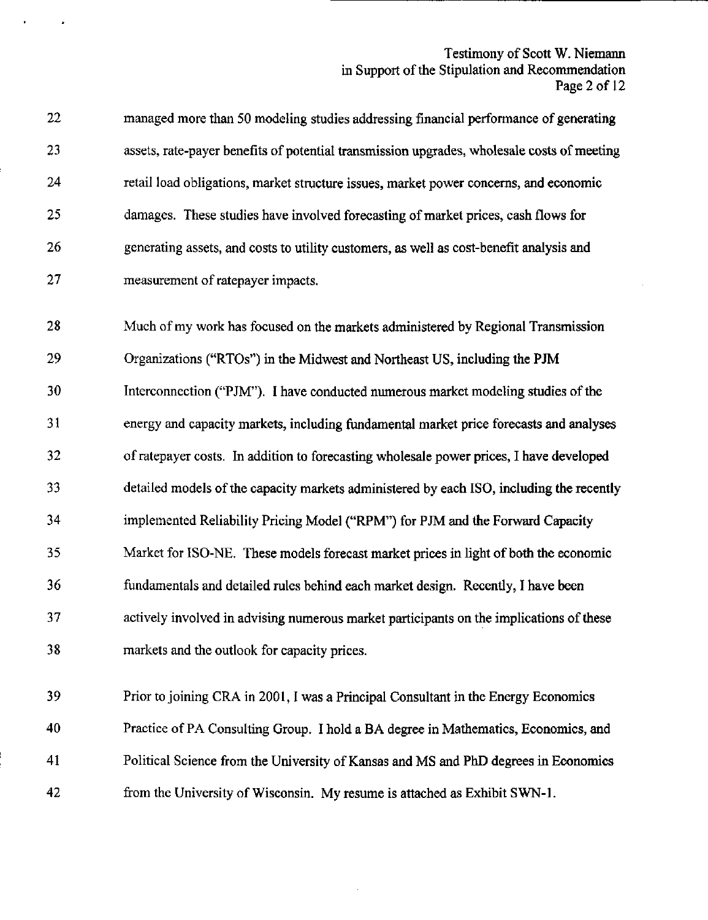# Testimony of Scott W. Niemann in Support of the Stipulation and Recommendation Page 2 of 12

22 managed more than 50 modeling studies addressing financial performance of generating 23 assets, rate-payer benefits of potential transmission upgrades, wholesale costs of meeting 24 retail load obligations, market structure issues, market power concerns, and economic 25 damages. These studies have involved forecasting of market prices, cash flows for 26 generating assets, and costs to utility customers, as well as cost-benefit analysis and 27 measurement of ratepayer impacts.

28 Much of my work has focused on the markets administered by Regional Transmission 29 Organizations ("RTOs") in the Midwest and Northeast US, including the PJM 30 Interconnection ("PJM"). I have conducted numerous market modeling studies of the 31 energy and capacity markets, including fimdamental market price forecasts and analyses 32 of ratepayer costs. In addition to forecasting wholesale power prices, I have developed 33 detailed models of the capacity markets administered by each ISO, including the recently 34 implemented Reliability Pricing Model ("RPM") for PJM and the Forward Capacity 35 Market for ISO-NE, These models forecast market prices in light of both the economic 36 fundamentals and detailed rules behind each market design. Recentiy, I have been 37 actively involved in advising numerous market participants on the implications of these 38 markets and the outlook for capacity prices,

39 Prior to joining CRA in 2001, I was a Principal Consultant in the Energy Economics 40 Practice of PA Consulting Group. I hold a BA degree in Mathematics, Economics, and 41 Political Science from the University of Kansas and MS and PhD degrees in Economics 42 from the University of Wisconsin. My resume is attached as Exhibit SWN-l.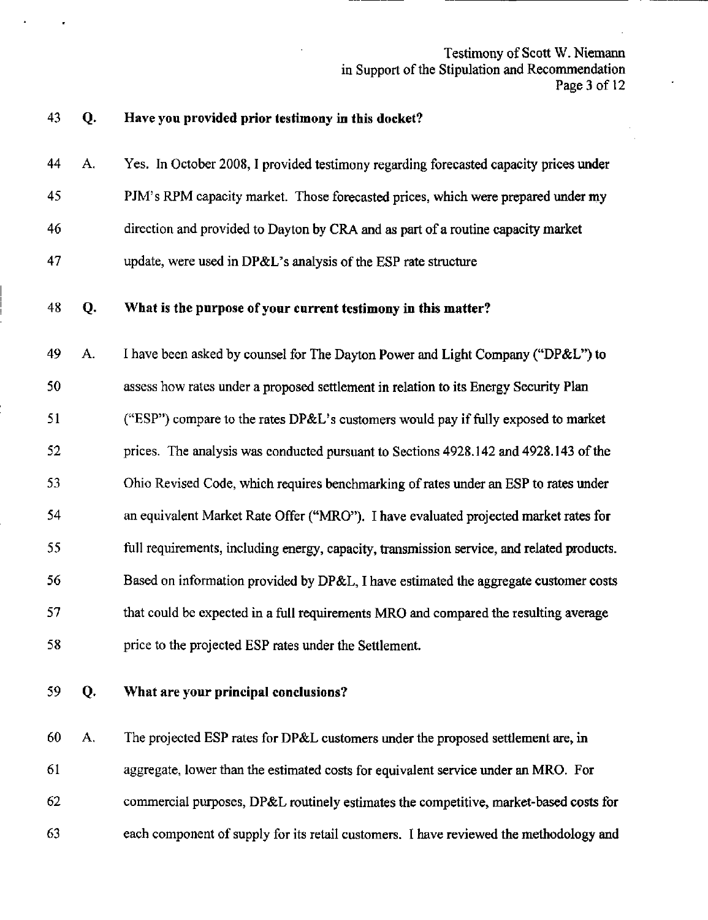# Testimony of Scott W. Niemann in Support of the Stipulation and Recommendation Page 3 of 12

# 43 Q. Have you provided prior testimony in this docket?

- 44 A. Yes. In October 2008, I provided testimony regarding forecasted capacity prices under 45 PJM's RPM capacity market. Those forecasted prices, which were prepared under my
- 46 direction and provided to Dayton by CRA and as part of a routine capacity market
- 47 update, were used in DP&L's analysis of the ESP rate structure

# 48 Q. What is the purpose of your current testimony in this matter?

49 A. I have been asked by counsel for The Dayton Power and Light Company ("DP&L") to 50 assess how rates under a proposed settlement in relation to its Energy Security Plan 51 ("ESP") compare to the rates DP&L's customers would pay if fully exposed to market 52 prices. The analysis was conducted pursuant to Sections 4928.142 and 4928.143 of the 53 Ohio Revised Code, which requires benchmarking of rates under an ESP to rates under 54 an equivalent Market Rate Offer ("MRO"). I have evaluated projected market rates for 55 full requirements, including energy, capacity, transmission service, and related products. 56 Based on information provided by DP&L, I have estimated the aggregate customer costs 57 that could be expected in a full requirements MRO and compared the resulting average 58 price to the projected ESP rates under the Settlement.

59 Q. What are your principal conclusions?

60 A. The projected ESP rates for DP&L customers under the proposed settlement are, in 61 aggregate, lower than the estimated costs for equivalent service under an MRO. For 62 commercial purposes, DP&L routinely estimates the competitive, market-based costs for 63 each component of supply for its retail customers. I have reviewed the methodology and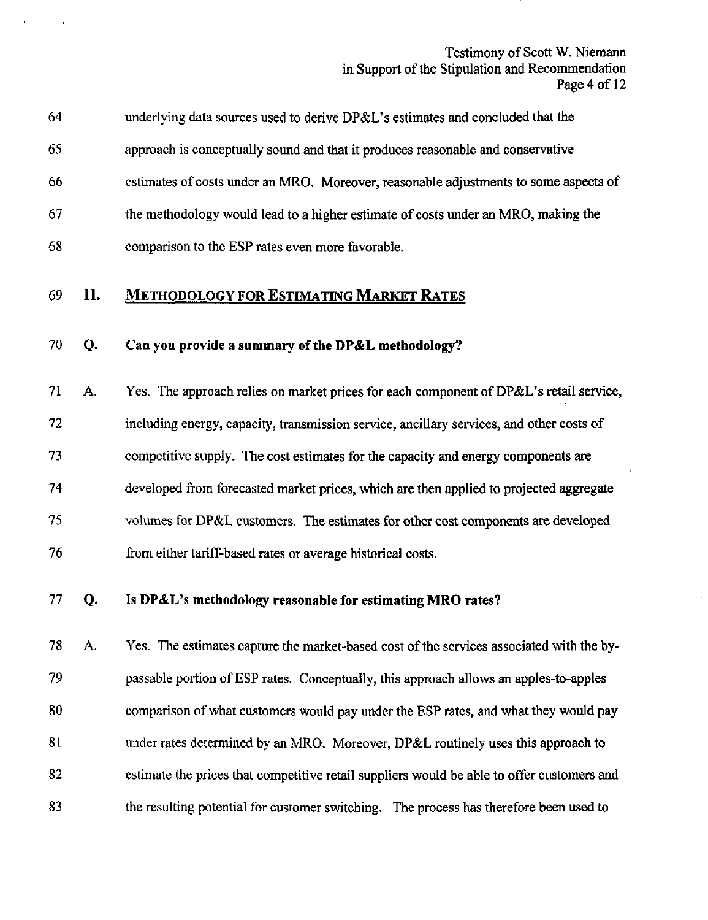# Testimony of Scott W. Niemann in Support of the Stipulation and Recommendation Page 4 of 12

| 64 | underlying data sources used to derive DP&L's estimates and concluded that the       |
|----|--------------------------------------------------------------------------------------|
| 65 | approach is conceptually sound and that it produces reasonable and conservative      |
| 66 | estimates of costs under an MRO. Moreover, reasonable adjustments to some aspects of |
| 67 | the methodology would lead to a higher estimate of costs under an MRO, making the    |
| 68 | comparison to the ESP rates even more favorable.                                     |
|    |                                                                                      |

# 69 II. METHODOLOGY FOR ESTIMATING MARKET RATES

# 70 Q, Can you provide a summary of the DP&L methodology?

71 A. Yes, The approach relies on market prices for each component of DP&L's retail service, 72 including energy, capacity, transmission service, ancillary services, and other costs of 73 competitive supply. The cost estimates for the capacity and energy components are 74 developed from forecasted market prices, which are then applied to projected aggregate 75 volumes for DP&L customers. The estimates for other cost components are developed 76 from either tariff-based rates or average historical costs.

# 77 Q. Is DP&L's methodology reasonable for estimating MRO rates?

78 A. Yes. The estimates capture the market-based cost of the services associated with the by-79 passable portion of ESP rates. Conceptually, this approach allows an apples-to-apples 80 comparison of what customers would pay under the ESP rates, and what they would pay 81 under rates determined by an MRO. Moreover, DP&L routinely uses this approach to 82 estimate the prices that competitive retail suppliers would be able to offer customers and 83 the resulting potential for customer switching. The process has therefore been used to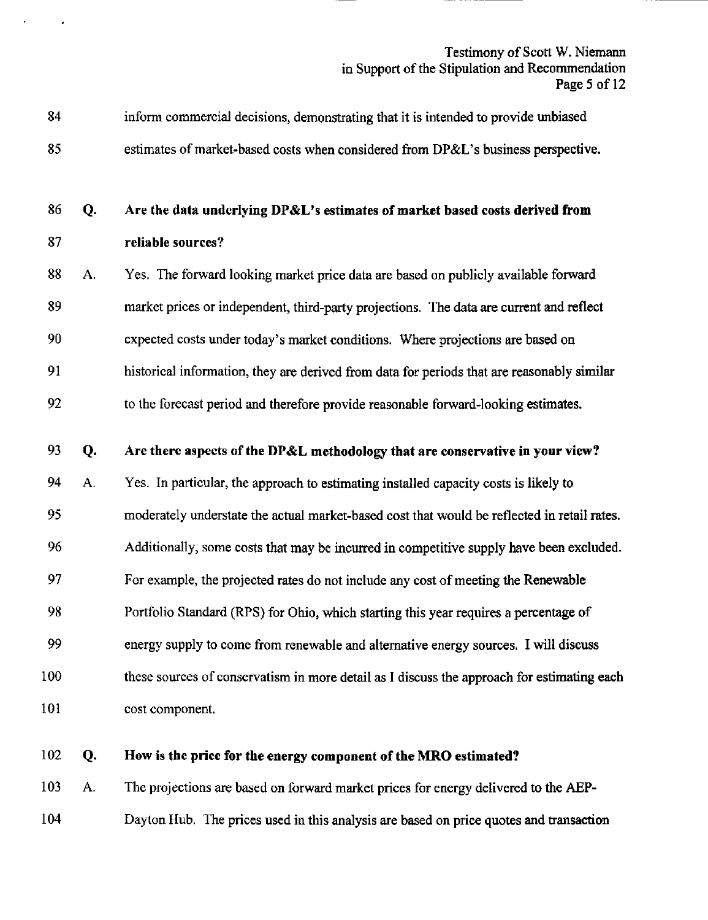# Testimony of Scott W. Niemann in Support of the Stipulation and Recommendation Page 5 of 12

| 84  |    | inform commercial decisions, demonstrating that it is intended to provide unbiased          |
|-----|----|---------------------------------------------------------------------------------------------|
| 85  |    | estimates of market-based costs when considered from DP&L's business perspective.           |
| 86  | Q. | Are the data underlying DP&L's estimates of market based costs derived from                 |
| 87  |    | reliable sources?                                                                           |
| 88  | А. | Yes. The forward looking market price data are based on publicly available forward          |
| 89  |    | market prices or independent, third-party projections. The data are current and reflect     |
| 90  |    | expected costs under today's market conditions. Where projections are based on              |
| 91  |    | historical information, they are derived from data for periods that are reasonably similar  |
| 92  |    | to the forecast period and therefore provide reasonable forward-looking estimates.          |
| 93  | Q. | Are there aspects of the DP&L methodology that are conservative in your view?               |
| 94  | A. | Yes. In particular, the approach to estimating installed capacity costs is likely to        |
| 95  |    | moderately understate the actual market-based cost that would be reflected in retail rates. |
| 96  |    | Additionally, some costs that may be incurred in competitive supply have been excluded.     |
| 97  |    | For example, the projected rates do not include any cost of meeting the Renewable           |
| 98  |    | Portfolio Standard (RPS) for Ohio, which starting this year requires a percentage of        |
| 99  |    | energy supply to come from renewable and alternative energy sources. I will discuss         |
| 100 |    | these sources of conservatism in more detail as I discuss the approach for estimating each  |

101 cost component.

 $\epsilon$ 

# 102 Q. How is the price for the energy component of the MRO estimated?

103 A. The projections are based on forward market prices for energy delivered to the AEP-

104 Dayton Hub. The prices used in this analysis are based on price quotes and transaction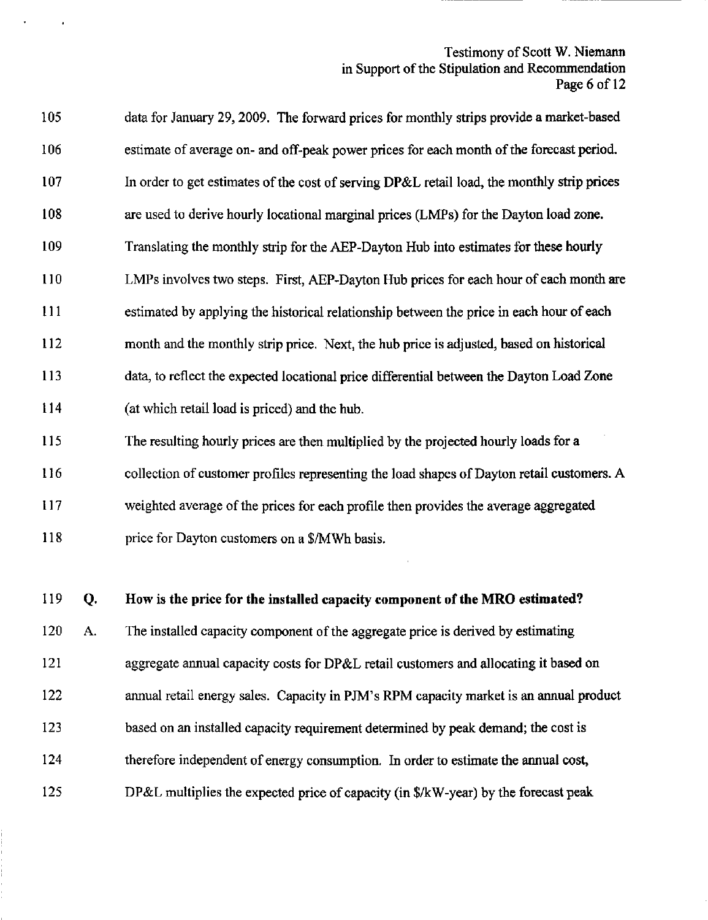# Testimony of Scott W. Niemann in Support of the Stipulation and Recommendation Page 6 of 12

| 105 | data for January 29, 2009. The forward prices for monthly strips provide a market-based     |
|-----|---------------------------------------------------------------------------------------------|
| 106 | estimate of average on- and off-peak power prices for each month of the forecast period.    |
| 107 | In order to get estimates of the cost of serving DP&L retail load, the monthly strip prices |
| 108 | are used to derive hourly locational marginal prices (LMPs) for the Dayton load zone.       |
| 109 | Translating the monthly strip for the AEP-Dayton Hub into estimates for these hourly        |
| 110 | LMPs involves two steps. First, AEP-Dayton Hub prices for each hour of each month are       |
| 111 | estimated by applying the historical relationship between the price in each hour of each    |
| 112 | month and the monthly strip price. Next, the hub price is adjusted, based on historical     |
| 113 | data, to reflect the expected locational price differential between the Dayton Load Zone    |
| 114 | (at which retail load is priced) and the hub.                                               |
| 115 | The resulting hourly prices are then multiplied by the projected hourly loads for a         |
| 116 | collection of customer profiles representing the load shapes of Dayton retail customers. A  |
| 117 | weighted average of the prices for each profile then provides the average aggregated        |
|     |                                                                                             |

118 price for Dayton customers on a \$/MWh basis.

119 Q. How is the price for the installed capacity component of the MRO estimated?

120 A. The installed capacity component of the aggregate price is derived by estimating 121 aggregate annual capacity costs for DP&L retail customers and allocating it based on 122 annual retail energy sales. Capacity in PJM's RPM capacity market is an annual product 123 based on an installed capacity requirement determined by peak demand; the cost is 124 therefore independent of energy consumption. In order to estimate the annual cost, 125 DP&L multiplies the expected price of capacity (in \$/kW-year) by the forecast peak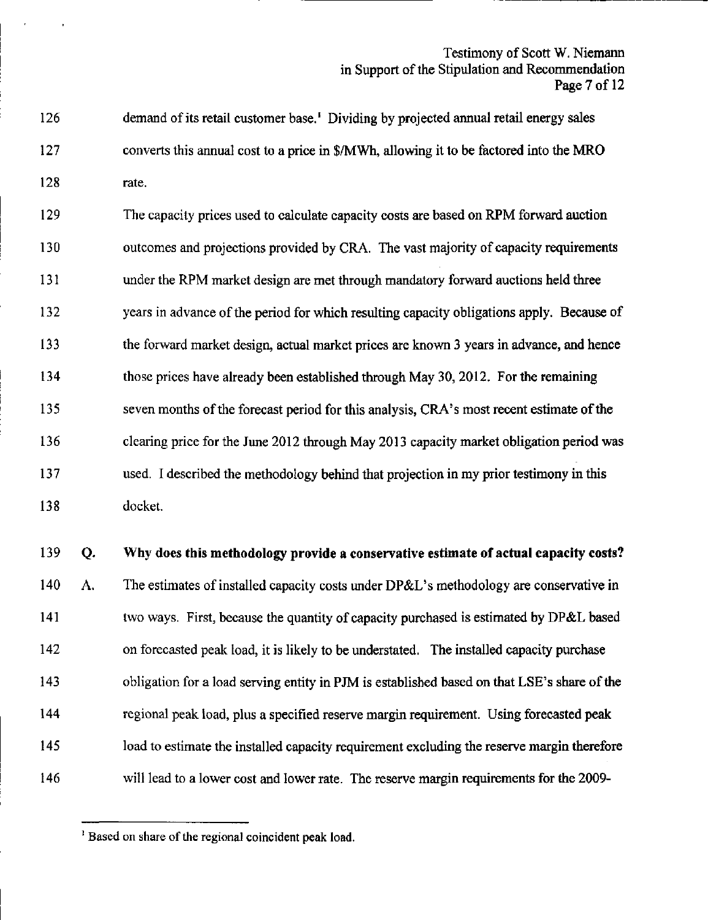# Testimony of Scott W. Niemann in Support of the Stipulation and Recommendation Page 7 of 12

126 demand of its retail customer base.' Dividing by projected annual retail energy sales 127 converts this annual cost to a price in \$/MWh, allowing it to be factored into the MRO 128 rate.

129 The capacity prices used to calculate capacity costs are based on RPM forward auction 130 outcomes and projections provided by CRA. The vast majority of capacity requirements 131 under the RPM market design are met through mandatory forward auctions held three 132 years in advance of the period for which resulting capacity obligations apply. Because of 133 the forward market design, actual market prices are known 3 years in advance, and hence 134 those prices have already been established through May 30, 2012. For the remaining 135 seven months of the forecast period for this analysis, CRA's most recent estimate of the 136 clearing price for the June 2012 through May 2013 capacity market obligation period was 137 used. I described the methodology behind that projection in my prior testimony in this 138 docket.

139 Q. Why does this methodology provide a conservative estimate of actual capacity costs? 140 A. The estimates of installed capacity costs under DP&L's methodology are conservative in 141 two ways. First, because the quantity of capacity purchased is estimated by DP&L based 142 on forecasted peak load, it is likely to be understated. The installed capacity purchase 143 obligation for a load serving entity in PJM is established based on that LSE's share of the 144 regional peak load, plus a specified reserve margin requirement. Using forecasted peak 145 load to estimate the installed capacity requirement excluding the reserve margin therefore 146 will lead to a lower cost and lower rate. The reserve margin requirements for the 2009-

<sup>&</sup>lt;sup>1</sup> Based on share of the regional coincident peak load.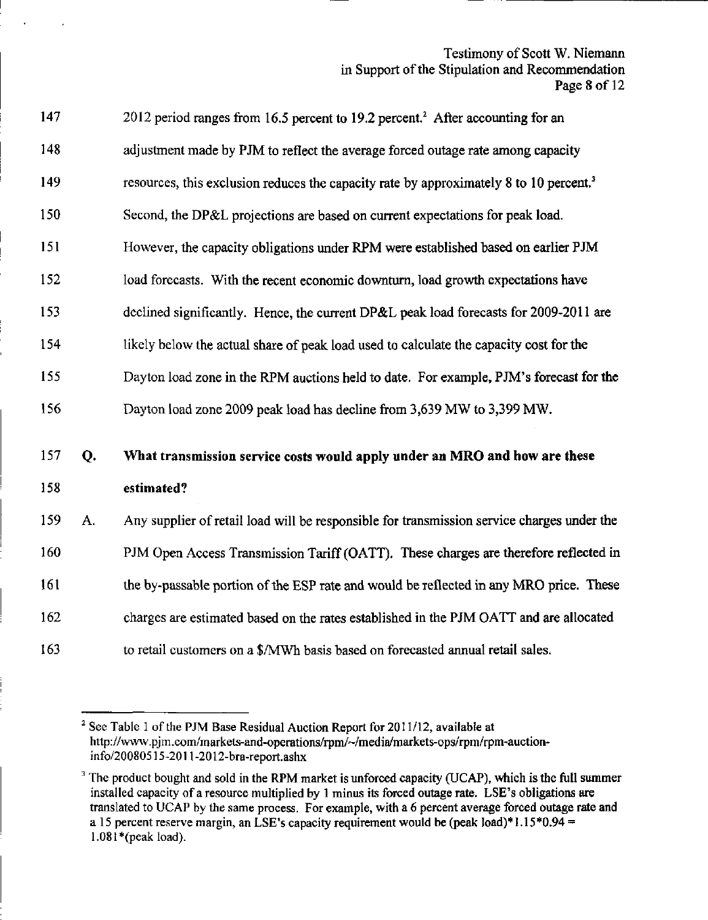# Testimony of Scott W. Niemann in Support of the Stipulation and Recommendation Page 8 of 12

| 147 |    | 2012 period ranges from 16.5 percent to 19.2 percent. <sup>2</sup> After accounting for an         |
|-----|----|----------------------------------------------------------------------------------------------------|
| 148 |    | adjustment made by PJM to reflect the average forced outage rate among capacity                    |
| 149 |    | resources, this exclusion reduces the capacity rate by approximately 8 to 10 percent. <sup>3</sup> |
| 150 |    | Second, the DP&L projections are based on current expectations for peak load.                      |
| 151 |    | However, the capacity obligations under RPM were established based on earlier PJM                  |
| 152 |    | load forecasts. With the recent economic downturn, load growth expectations have                   |
| 153 |    | declined significantly. Hence, the current DP&L peak load forecasts for 2009-2011 are              |
| 154 |    | likely below the actual share of peak load used to calculate the capacity cost for the             |
| 155 |    | Dayton load zone in the RPM auctions held to date. For example, PJM's forecast for the             |
| 156 |    | Dayton load zone 2009 peak load has decline from 3,639 MW to 3,399 MW.                             |
| 157 | Q. | What transmission service costs would apply under an MRO and how are these                         |
| 158 |    | estimated?                                                                                         |
| 159 | A. | Any supplier of retail load will be responsible for transmission service charges under the         |
| 160 |    | PJM Open Access Transmission Tariff (OATT). These charges are therefore reflected in               |
| 161 |    | the by-passable portion of the ESP rate and would be reflected in any MRO price. These             |
| 162 |    | charges are estimated based on the rates established in the PJM OATT and are allocated             |
| 163 |    | to retail customers on a \$/MWh basis based on forecasted annual retail sales.                     |

 $2$  See Table 1 of the PJM Base Residual Auction Report for 2011/12, available at hrtp:/[/www.pjm.com/markets-and-operations/rpm/--/media/markets-ops/rpm/rpm-auction](http://www.pjm.com/markets-and-operations/rpm/--/media/markets-ops/rpm/rpm-auction)info/20080515-2011-2012-bra-report.ashx

 $3$  The product bought and sold in the RPM market is unforced capacity (UCAP), which is the full summer installed capacity of a resource multiplied by 1 minus its forced outage rate. LSE's obligations are translated to UCAP by the same process. For example, with a 6 percent average forced outage rate and a 15 percent reserve margin, an LSE's capacity requirement would be (peak load)\*1.15\*0.94 =  $1.081*(peak load)$ .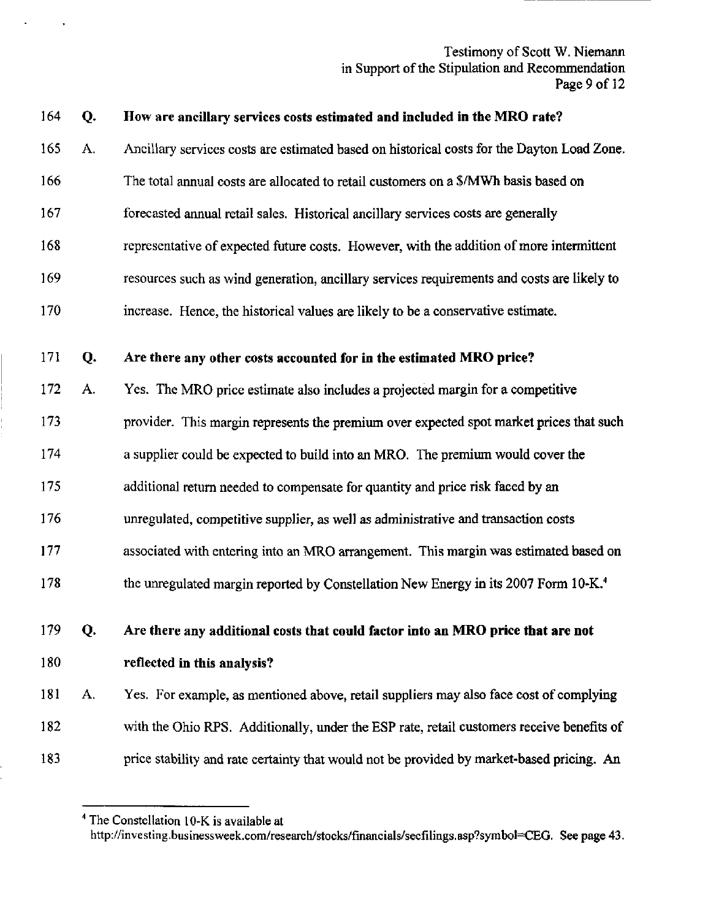Testimony of Scott W. Niemann in Support of the Stipulation and Recommendation Page 9 of 12 Page 9 of 12

#### 164 Q. How are ancillary services costs estimated and included in the MRO rate?  $\mathcal{L}_{\text{max}}$  services costs estimated and included in the MRO rate.

165 Ancillary services costs are estimated based on historical costs for the Dayton Load Zone. A.

Ancillary services costs are estimated based on historical costs for the Dayton Load Zone.

- 166 The total annual costs are allocated to retail customers on a \$/MWh basis based on
- 167 forecasted annual retail sales. Historical ancillary services costs are generally
- 168 representative of expected future costs. However, with the addition of more intermittent representative of expected future costs. However, with the addition of more intermittent

forecasted annual retail sales. Historical ancillary services costs are generally

- 169 resources such as wind generation, ancillary services requirements and costs are likely to resources such as wind generation, ancillary services requirements and costs are likely to
- increase. Hence, the historical values are likely to be a conservative estimate. 170

#### Are there any other costs accounted for in the estimated MRO price? 171 Q.

- Yes. The MRO price estimate also includes a projected margin for a competitive 172 A.
- provider. This margin represents the premium over expected spot market prices that such 173
- a supplier could be expected to build into an MRO. The premium would cover the 174
- additional return needed to compensate for quantity and price risk faced by an 175
- unregulated, competitive supplier, as well as administrative and transaction costs 176
- associated with entering into an MRO arrangement. This margin was estimated based on 177
- the unregulated margin reported by Constellation New Energy in its 2007 Form 10-K.<sup>4</sup> 178

# 179 Q. Are there any additional costs that could factor into an MRO price that are not 180 reflected in this analysis?

181 A. Yes. For example, as mentioned above, retail suppliers may also face cost of complying 182 with the Ohio RPS. Additionally, under the ESP rate, retail customers receive benefits of 183 price stability and rate certainty that would not be provided by market-based pricing. An

<sup>&</sup>lt;sup>4</sup> The Constellation 10-K is available at http://investing.businessweek.com/research/stocks/financials/secfilings.asp?symbol=CEG. See page 43.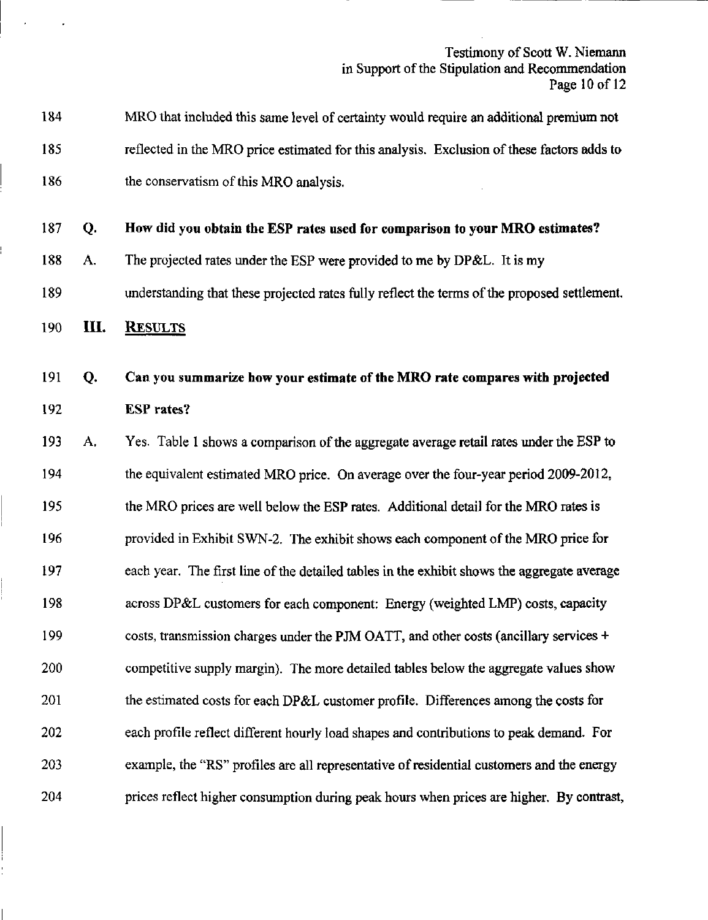Testimony of Scott W. Niemann in Support of the Stipulation and Recommendation Page 10 of 12

| 184 |    | MRO that included this same level of certainty would require an additional premium not       |
|-----|----|----------------------------------------------------------------------------------------------|
| 185 |    | reflected in the MRO price estimated for this analysis. Exclusion of these factors adds to   |
| 186 |    | the conservatism of this MRO analysis.                                                       |
| 187 | Q. | How did you obtain the ESP rates used for comparison to your MRO estimates?                  |
| 188 | A. | The projected rates under the ESP were provided to me by DP&L. It is my                      |
| 189 |    | understanding that these projected rates fully reflect the terms of the proposed settlement. |
| 190 | Ш. | <b>RESULTS</b>                                                                               |
| 191 | Q. | Can you summarize how your estimate of the MRO rate compares with projected                  |
| 192 |    | <b>ESP</b> rates?                                                                            |
| 193 | A. | Yes. Table 1 shows a comparison of the aggregate average retail rates under the ESP to       |
| 194 |    | the equivalent estimated MRO price. On average over the four-year period 2009-2012,          |
| 195 |    | the MRO prices are well below the ESP rates. Additional detail for the MRO rates is          |
| 196 |    | provided in Exhibit SWN-2. The exhibit shows each component of the MRO price for             |
| 197 |    | each year. The first line of the detailed tables in the exhibit shows the aggregate average  |
| 198 |    | across DP&L customers for each component: Energy (weighted LMP) costs, capacity              |
| 199 |    | costs, transmission charges under the PJM OATT, and other costs (ancillary services +        |
| 200 |    | competitive supply margin). The more detailed tables below the aggregate values show         |
| 201 |    | the estimated costs for each DP&L customer profile. Differences among the costs for          |
| 202 |    | each profile reflect different hourly load shapes and contributions to peak demand. For      |
| 203 |    | example, the "RS" profiles are all representative of residential customers and the energy    |
| 204 |    | prices reflect higher consumption during peak hours when prices are higher. By contrast,     |

 $\ddot{\phantom{0}}$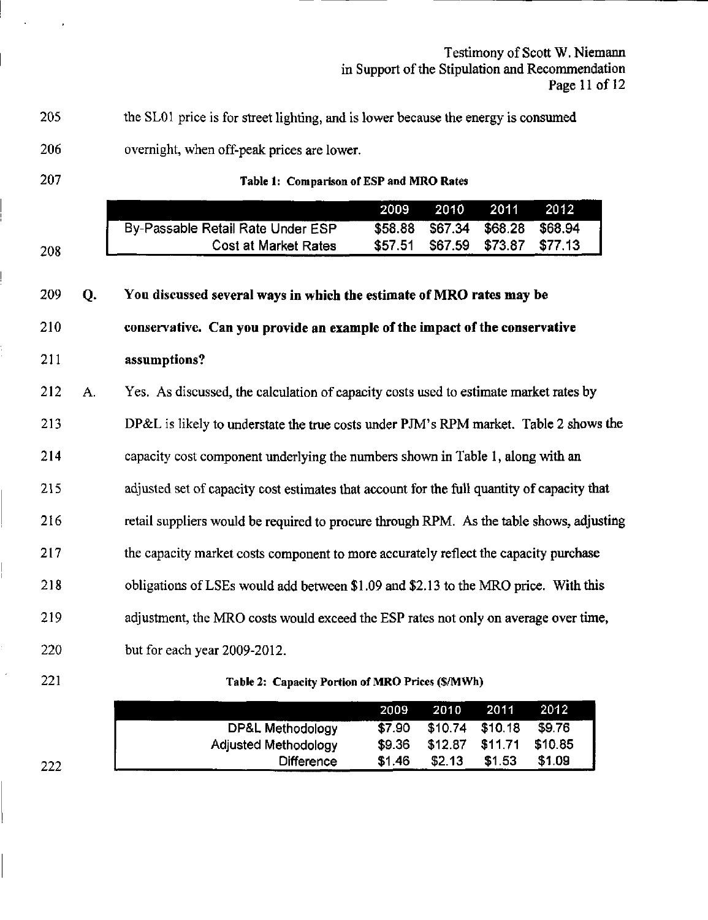Testimony of Scott W. Niemann in Support of the Stipulation and Recommendation Page 11 of 12

205 the SLOl price is for street lighting, and is lower because the energy is consumed

- 206 overnight, when off-peak prices are lower.
- 207

208

# Table 1: Comparison of ESP and MRO Rates

|                                   |         | 2009 2010 2011 2012             |  |
|-----------------------------------|---------|---------------------------------|--|
| By-Passable Retail Rate Under ESP |         | \$58.88 \$67.34 \$68.28 \$68.94 |  |
| <b>Cost at Market Rates</b>       | \$57.51 | \$67.59 \$73.87 \$77.13         |  |

#### 209 You discussed several ways in which the estimate of MRO rates may be О. 210 conservative. Can you provide an example of the impact of the conservative 211 assumptions? Yes. As discussed, the calculation of capacity costs used to estimate market rates by 212 A. 213 DP&L is likely to understate the true costs under PJM's RPM market. Table 2 shows the 214 capacity cost component underlying the numbers shown in Table I, along with an

215 adjusted set of capacity cost estimates that account for the full quantity of capacity that

216 retail suppliers would be required to procure through RPM. As the table shows, adjusting

217 the capacity market costs component to more accurately reflect the capacity purchase

218 obligations of LSEs would add between \$1.09 and \$2.13 to the MRO price. With this

219 adjustment, the MRO costs would exceed the ESP rates not only on average over time,

- 220 but for each year 2009-2012.
- 221

# Table 2: Capacity Portion of MRO Prices (\$/MWh)

|                             | 2009   |        | 2010 2011         | -2012   |
|-----------------------------|--------|--------|-------------------|---------|
| DP&L Methodology            | \$7.90 |        | \$10.74 \$10.18   | \$9.76  |
| <b>Adjusted Methodology</b> | \$9.36 |        | $$12.87$ $$11.71$ | \$10.85 |
| <b>Difference</b>           | \$1.46 | \$2.13 | \$1.53            | \$1.09  |

222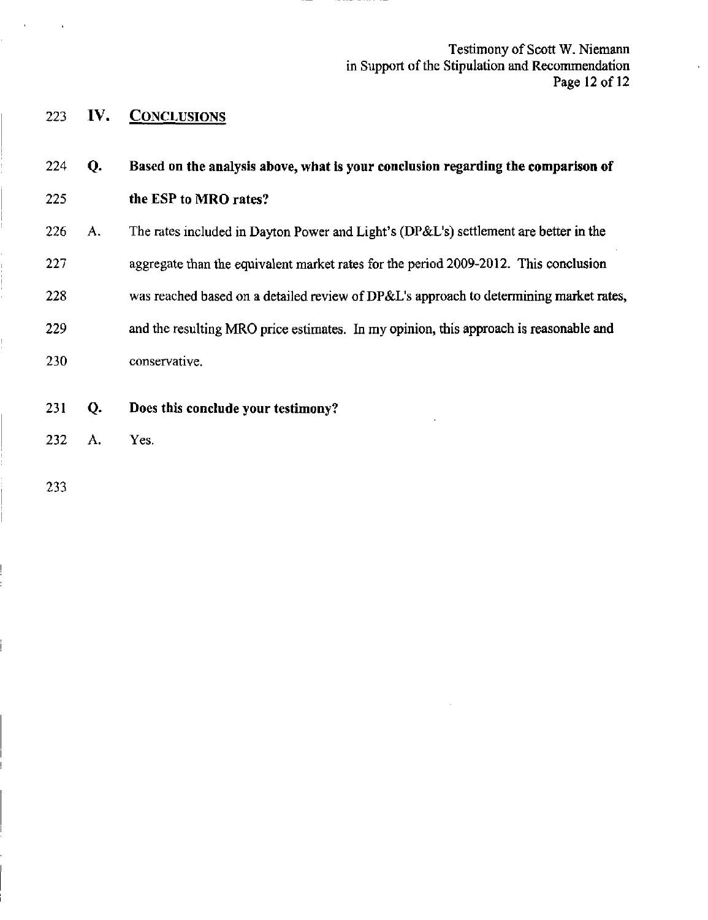Testimony of Scott W. Niemann in Support of the Stipulation and Recommendation Page 12 of 12

 $\cdot$ 

 $\hat{\mathbf{v}}$ 

223 IV. CONCLUSIONS

| 224 | Q. | Based on the analysis above, what is your conclusion regarding the comparison of       |
|-----|----|----------------------------------------------------------------------------------------|
| 225 |    | the ESP to MRO rates?                                                                  |
| 226 | А. | The rates included in Dayton Power and Light's (DP&L's) settlement are better in the   |
| 227 |    | aggregate than the equivalent market rates for the period 2009-2012. This conclusion   |
| 228 |    | was reached based on a detailed review of DP&L's approach to determining market rates, |
| 229 |    | and the resulting MRO price estimates. In my opinion, this approach is reasonable and  |
| 230 |    | conservative.                                                                          |
| 231 | Q. | Does this conclude your testimony?                                                     |
| 232 | А. | Yes.                                                                                   |

233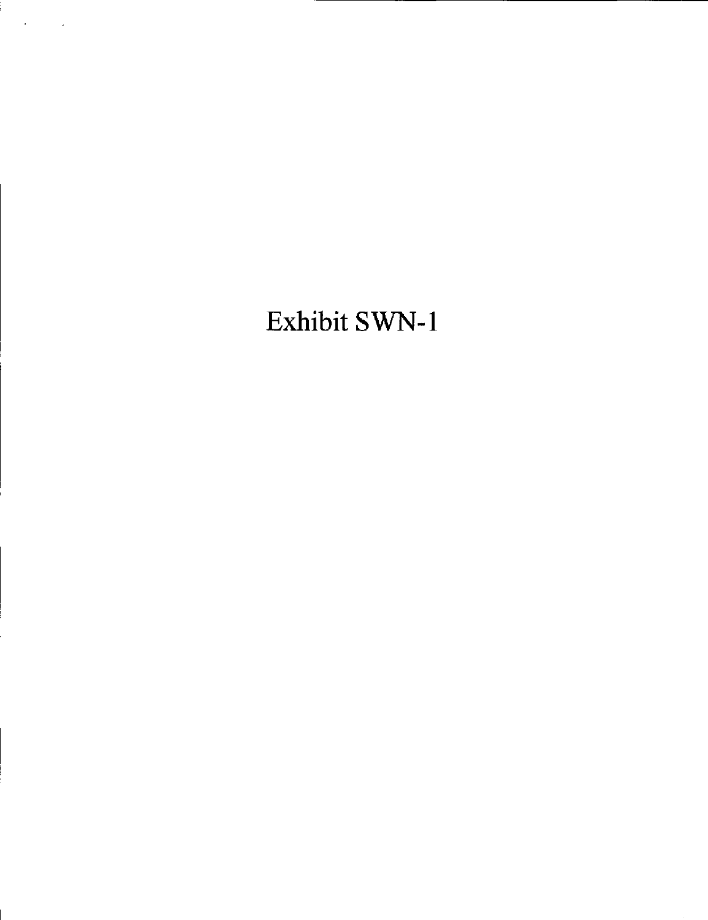# Exhibit SWN-l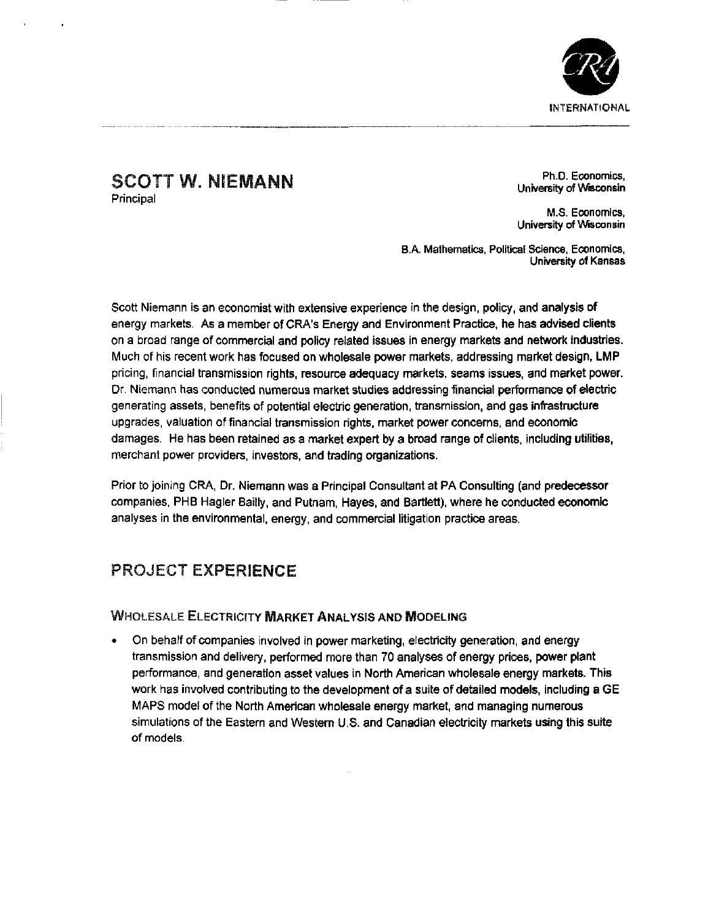

# SCOTT W. NIEMANN Principal

Ph.D. Economics, University of Wisconsin

M.S. Economics, University of Wisconsin

B.A. Mathematics, Political Science, Economics, University of Kansas

Scott Niemann is an economist with extensive experience in the design, policy, and analysis of energy markets. As a member of CRA's Energy and Environment Practice, he has advised clients on a broad range of commercial and policy related issues in energy markets and network industries. Much of his recent work has focused on wholesale power markets, addressing market design, LMP pricing, financial transmission rights, resource adequacy markets, seams issues, and market power. Dr. Niemann has conducted numerous market studies addressing financial performance of electric generating assets, benefits of potential electric generation, transmission, and gas infrastructure upgrades, valuation of financial transmission rights, market power concerns, and economic damages. He has been retained as a market expert by a broad range of clients, including utilities, merchant power providers, investors, and trading organizations.

Prior to joining CRA, Dr. Niemann was a Principal Consultant at PA Consulting (and predecessor companies, PHB Hagler Baitly, and Putnam, Hayes, and Bartlett), where he conducted economic analyses in the environmental, energy, and commercial litigation practice areas.

# PROJECT EXPERIENCE

# WHOLESALE ELECTRICITY MARKET ANALYSIS AND MODELING

• On behalf of companies involved in power marketing, electricity generation, and energy transmission and delivery, performed more than 70 analyses of energy prices, power plant performance, and generation asset values in North American wholesale energy markets. This work has involved contributing to the development of a suite of detailed models, including a GE MAPS model of the North American wholesale energy market, and managing numerous simulations of the Eastern and Western U.S. and Canadian electricity markets using this suite of models.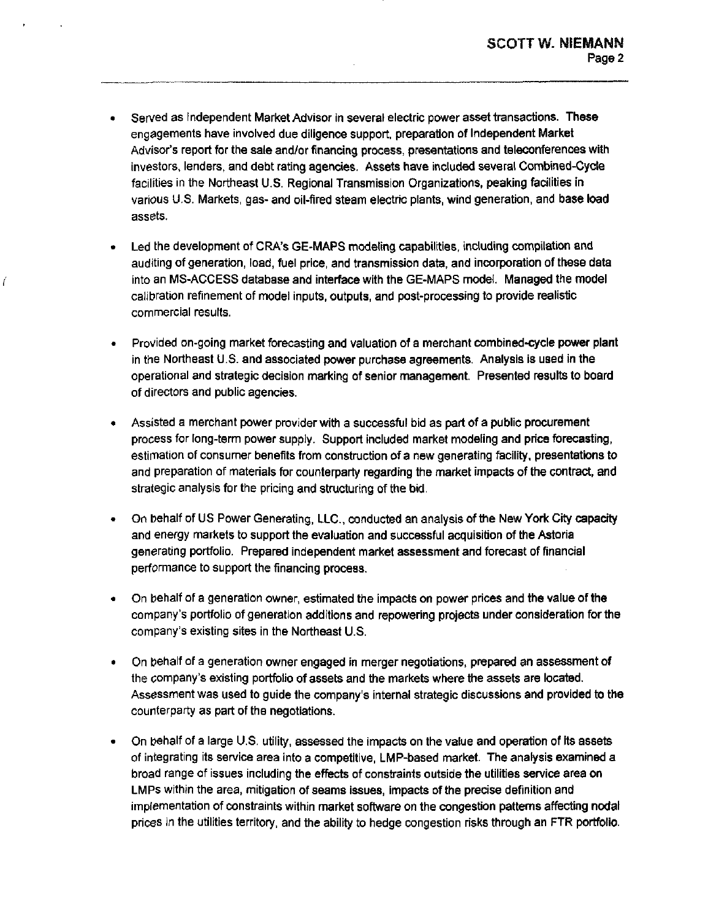- Served as Independent Market Advisor in several electric power asset transactions. These engagements have involved due diligence support, preparation of Independent Market Advisor's report for the sale and/or financing process, presentations and teleconferences with investors, lenders, and debt rating agencies. Assets have included several Combined-Cycfe facilities in the Northeast U.S. Regional Transmission Organizations, peaking facilities in various U.S. Markets, gas- and oil-fired steam electric plants, wind generation, and base load assets.
- Led the development of CRA's GE-MAPS modeling capabilities, including compilation and auditing of generation, load, fuel price, and transmission data, and incorporation of these data into an MS-ACCESS database and Interface with the GE-MAPS model. Managed the model calibration refinement of model inputs, outputs, and post-processing to provide realistic commercial results.
- Provided on-going market forecasting and valuation of a merchant combined-cycle power plant in the Northeast U.S. and associated power purchase agreements. Analysis Is used in the operational and strategic decision marking of senior management. Presented results to board of directors and public agencies.
- Assisted a merchant power provider with a successful bid as part of a public procurement process for long-term power supply. Support included market modeling and price forecasting, estimation of consumer benefits from construction of a new generating facility, presentations to and preparation of materials for counterparty regarding the market impacts of the contract, and strategic analysis for the pricing and structuring of the bid.
- On behalf of US Power Generating, LLC, conducted an analysis of the New York City capacity and energy markets to support the evaluation and successful acquisition of the Astoria generating portfolio. Prepared Independent market assessment and forecast of financial performance to support the financing process.
- On behalf of a generation owner, estimated the Impacts on power prices and the value of the  $\bullet$ company's portfolio of generation additions and repowering projects under consideration for the company's existing sites in the Northeast U.S.
- On behalf of a generation owner engaged In merger negotiations, prepared an assessment of the company's existing portfolio of assets and the markets where the assets are located. Assessment was used to guide the company's internal strategic discussions and provided to the counterparty as part of the negotiations.
- On behalf of a large U.S. utility, assessed the impacts on the value and operation of its assets of integrating its service area into a competitive, LMP-based market. The analysis examined a broad range of issues including the effects of constraints outside the utilities service area on LMPs within the area, mitigation of seams issues, impacts of the precise definition and implementation of constraints within market software on the congestion patterns affecting nodal prices in the utilities territory, and the ability to hedge congestion risks through an FTR portfolio.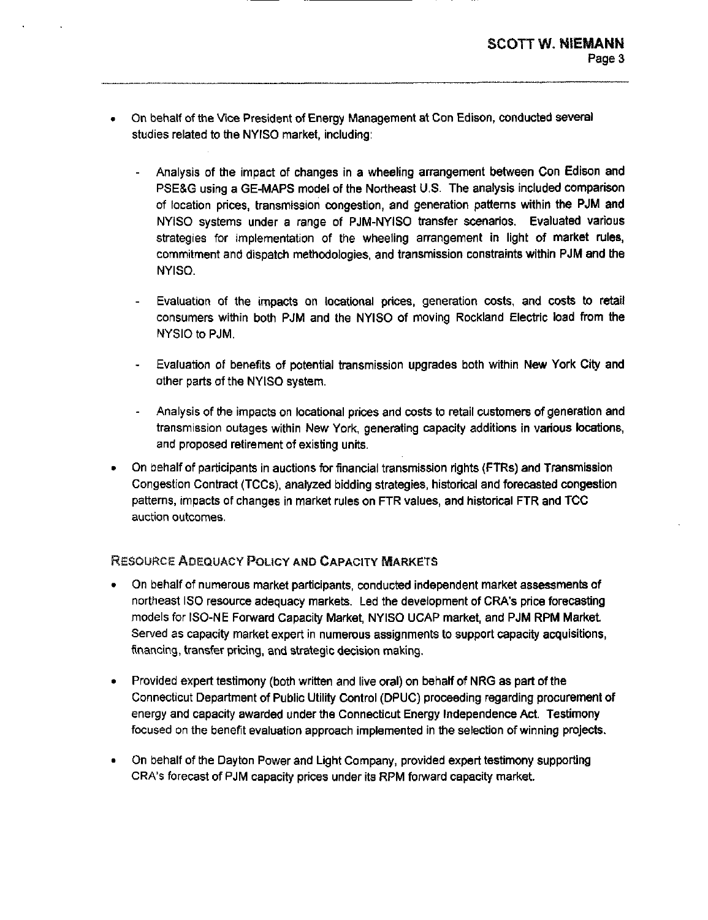- On behalf of the Vice President of Energy Management at Con Edison, conducted several studies related to the NYISO market, including:
	- Analysis of the Impact of changes in a wheeling arrangement between Con Edison and PSE&G using a GE-MAPS model of the Northeast U.S. The analysis included comparison of location prices, transmission congestion, and generation patterns within the PJM and NYISO systems under a range of PJM-NYISO transfer scenarios. Evaluated various strategies for implementation of the wheeling arrangement in light of market rules, commitment and dispatch methodologies, and transmission constraints within PJM and the NYISO.
	- Evaluation of the impacts on locationai prices, generation costs, and costs to retail consumers within both PJM and the NYISO of moving Rockland Electric load from the NYSIO to PJM.
	- Evaluation of benefits of potential transmission upgrades both within New York City and other parts of the NYISO system.
	- Analysis of the impacts on locational prices and costs to retail customers of generation and transmission outages within New York, generating capacity additions in various locations, and proposed retirement of existing units.
- On behalf of participants in auctions for financial transmission rights (FTRs) and Transmission Congestion Contract (TCCs), analyzed bidding strategies, historical and forecasted congestion patterns, impacts of changes in market rules on FTR values, and historical FTR and TCC auction outcomes.

# RESOURCE ADEQUACY POLICY AND CAPACITY MARKETS

- On behalf of numerous market participants, conducted independent market assessments of northeast ISO resource adequacy markets. Led the development of CRA's price forecasting models for ISO-NE Fonward Capacity Market, NYISO UCAP market, and PJM RPM Market Served as capacity market expert in numerous assignments to support capacity acquisitions, financing, transfer pricing, and strategic decision making.
- Provided expert testimony (both written and live oral) on behalf of NRG as part of the Connecticut Department of Public Utility Control (DPUC) proceeding regarding procurement of energy and capacity awarded under the Connecticut Energy Independence Act. Testimony focused on the benefit evaluation approach Implemented in the selection of winning projects.
- On behalf of the Dayton Power and Light Company, provided expert testimony supporting CRA's forecast of PJM capacity prices under its RPM forward capacity market.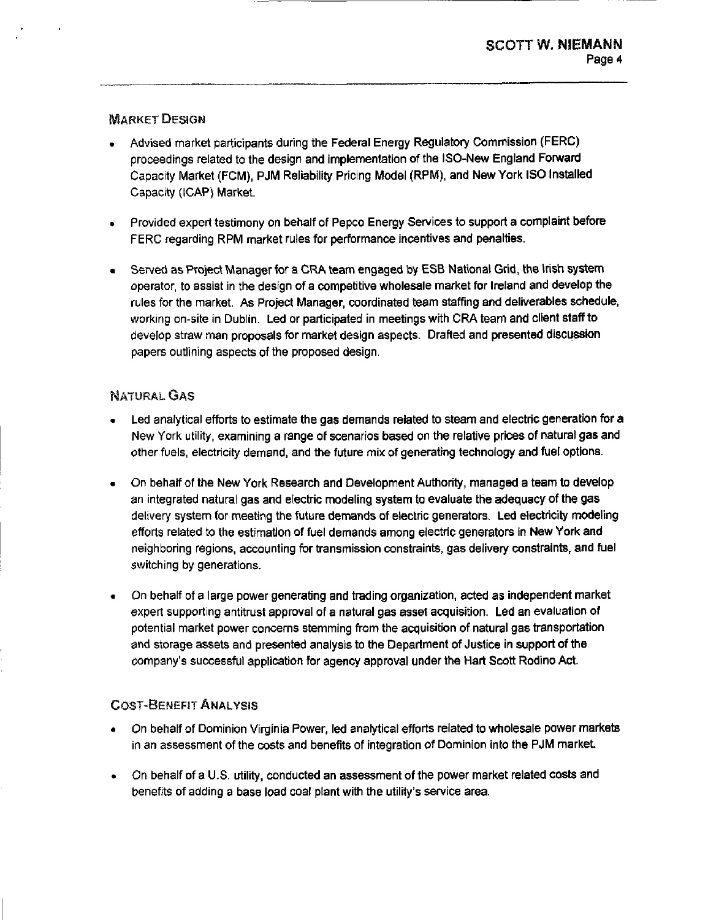# MARKET DESIGN

- Advised market participants during the Federal Energy Regulatory Commission (FERC) proceedings related to the design and implementation of the ISO-New England Forward Capacity Market (FCM), PJM Reliability Pricing Model (RPM), and New York ISO Installed Capacity (ICAP) Market.
- Provided expert testimony on behalf of Pepco Energy Services to support a complaint before FERC regarding RPM market rules for performance incentives and penalties.
- Served as Project Manager for a CRA team engaged by ESB National Grid, the Irish system operator, to assist In the design of a competitive wholesale market for Ireland and develop the rules for the market. As Project Manager, coordinated team staffing and deliverables schedule, working on-site in Dublin. Led or participated in meetings with CRA team and client staff to develop straw man proposals for market design aspects. Drafted and presented discussion papers outlining aspects of the proposed design.

# NATURAL GAS

- Led analytical efforts to estimate the gas demands related to steam and electric generation for a New York utility, examining a range of scenarios based on the relative prices of natural gas and other fuels, electricity demand, and the future mix of generating technology and fuel options.
- On behalf of the New York Research and Development Authority, managed a team to develop an integrated natural gas and electric modeling system to evaluate the adequacy of the gas delivery system for meeting the future demands of electric generators. Led electricity modeling efforts related to the estimation of fuel demands among electric generators in New York and neighboring regions, accounting for transmission constraints, gas delivery constraints, and fuel switching by generations.
- On behalf of a large power generating and trading organization, acted as Independent market expert supporting antitrust approval of a natural gas asset acquisition. Led an evaluation of potential market power concerns stemming from the acquisition of natural gas transportation and storage assets and presented analysis to the Department of Justice in support of the company's successful application for agency approval under the Hart Scott Rodino Act.

# **COST-BENEFIT ANALYSIS**

- On behalf of Dominion Virginia Power, led analytical efforts related to wholesale power markets in an assessment of the costs and benefits of integration of Dominion into the PJM market.
- On behalf of a U.S. utility, conducted an assessment of the power market related costs and benefits of adding a base load coal plant with the utility's service area.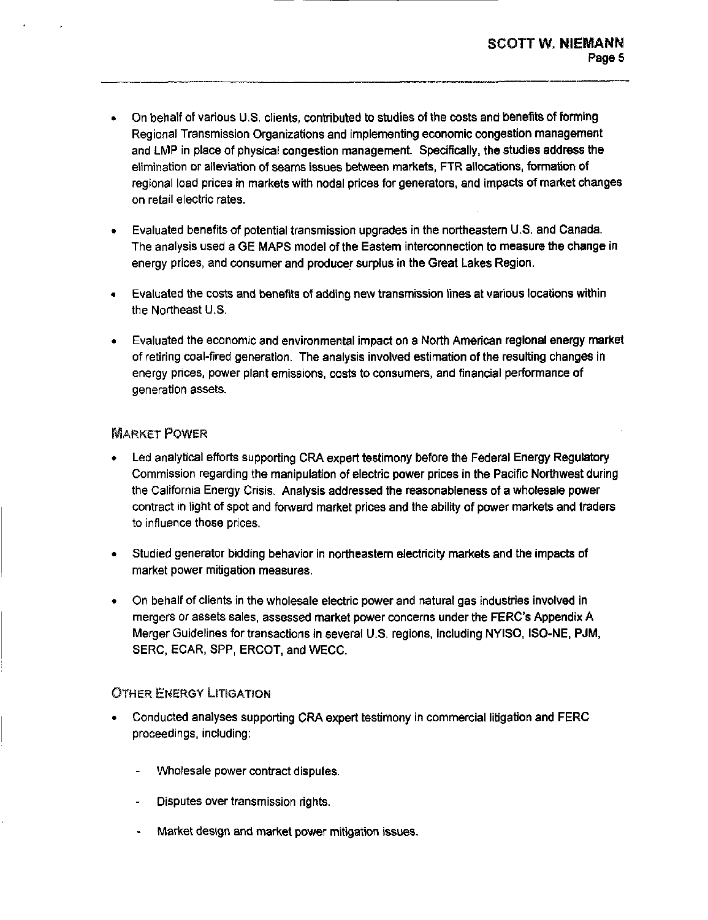- On behalf of various U.S. clients, contributed to studies of the costs and benefits of forming Regional Transmission Organizations and implementing economic congestion management and LMP in place of physical congestion management. Specifically, the studies address the elimination or alleviation of seams issues between markets, FTR allocations, formation of regional load prices in markets with nodal prices for generators, and Impacts of market changes on retail electric rates.
- Evaluated benefits of potential transmission upgrades in the northeastern U.S. and Canada.  $\bullet$ The analysis used a GE MAPS model of the Eastern interconnection to measure the change in energy prices, and consumer and producer surplus in the Great Lakes Region.
- Evaluated the costs and benefits of adding new transmission lines at various locations within the Northeast U.S.
- Evaluated the economic and environmental Impact on a North American regional energy market of retiring coal-fired generation. The analysis Involved estimation of the resulting changes In energy prices, power plant emissions, costs to consumers, and financial performance of generation assets.

# MARKET POWER

- Led analytical efforts supporting CRA expert testimony before the Federal Energy Regulatory Commission regarding the manipulation of electric power prices in the Pacific Northwest during the California Energy Crisis. Analysis addressed the reasonableness of a wholesale power contract in light of spot and forward market prices and the ability of power markets and traders to influence those prices.
- Studied generator bidding behavior in northeastern electricity markets and the impacts of market power mitigation measures.
- On behalf of clients in the wholesale electric power and natural gas industries involved in mergers or assets sales, assessed market power concerns under the FERC's Appendix A Merger Guidelines for transactions in several U.S. regions. Including NYISO, ISO-NE, PJM, SERC, ECAR, SPP, ERCOT, and WECC.

# OTHER ENERGY LITIGATION

- Conducted analyses supporting CRA expert testimony In commercial litigation and FERC proceedings, including;
	- Wholesale power contract disputes.
	- Disputes over transmission rights.
	- Market design and market power mitigation issues.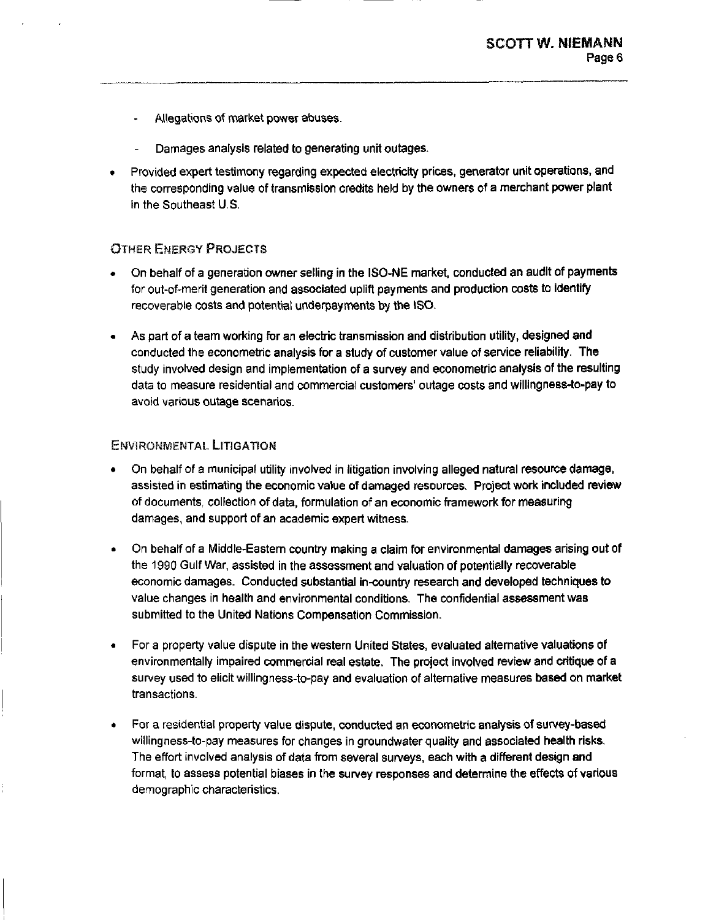- Allegations of market power abuses.  $\omega_{\rm{max}}$
- Damages analysis related to generating unit outages.
- Provided expert testimony regarding expected electricity prices, generator unit operations, and the corresponding value of transmission credits held by the owners of a merchant power plant in the Southeast U.S.

# OTHER ENERGY PROJECTS

- On behalf of a generation owner selling in the ISO-NE market, conducted an audit of payments for out-of-merit generation and associated uplift payments and production costs to identify recoverable costs and potential underpayments by the ISO.
- As part of a team working for an electric transmission and distribution utility, designed and conducted the econometric analysis for a study of customer value of service reliability. The study involved design and implementation of a survey and econometric analysis of the resulting data to measure residential and commercial customers' outage costs and wlllingness-to-pay to avoid various outage scenarios.

## ENVIRONMENTAL LITIGATION

- On behalf of a municipal utility involved in litigation involving alleged natural resource damage, assisted in estimating the economic value of damaged resources. Project work included review of documents, collection of data, formulation of an economic framework for measuring damages, and support of an academic expert witness.
- On behalf of a Middle-Eastern country making a claim for environmental damages arising out of the 1990 Gulf War, assisted in the assessment and valuation of potentially recoverable economic damages. Conducted substantial in-country research and developed techniques to value changes in health and environmental conditions. The confidential assessment was submitted to the United Nations Compensation Commission.
- For a property value dispute in the western United States, evaluated alternative valuations of environmentally impaired commercial real estate. The project involved review and critique of a survey used to elicit wlllingness-to-pay and evaluation of alternative measures based on market transactions.
- For a residential property value dispute, conducted an econometric analysis of survey-based willingness-to-pay measures for changes in groundwater quality and associated health risks. The effort involved analysis of data from several surveys, each with a different design and format, to assess potential biases in the survey responses and determine the effects of various demographic characteristics.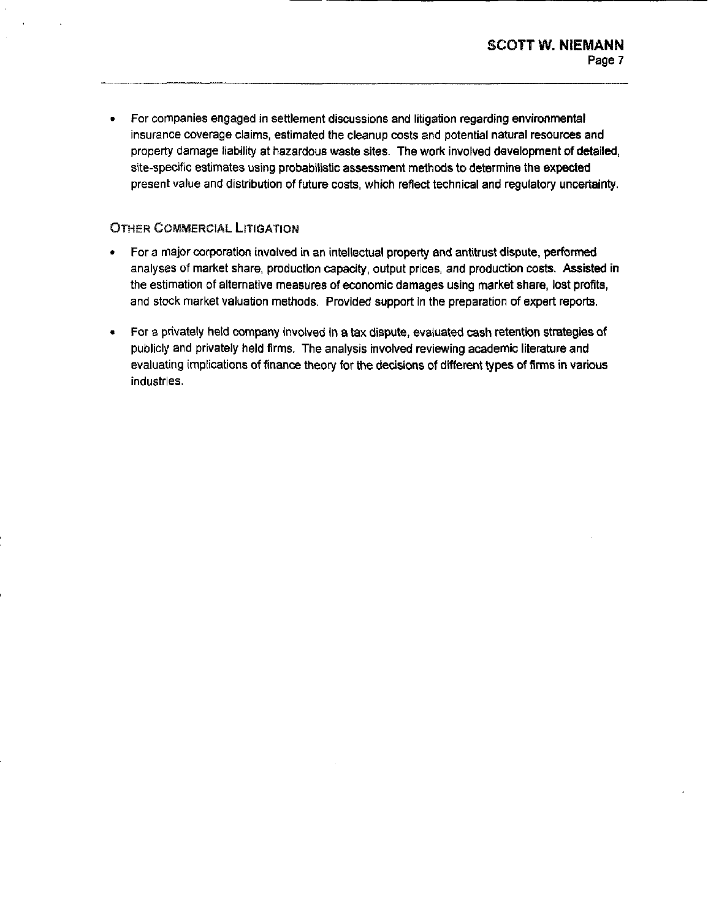For companies engaged in settlement discussions and litigation regarding environmental  $\bullet$ insurance coverage claims, estimated the cleanup costs and potential natural resources and property damage liability at hazardous waste sites. The work involved development of detailed, site-specific estimates using probabilistic assessment methods to determine the expected present value and distribution of future costs, which reflect technical and regulatory uncertainty.

# OTHER COMMERCIAL LITIGATION

- For a major corporation Involved in an intellectual property and antitrust dispute, performed analyses of market share, production capacity, output prices, and production costs. Assisted in the estimation of alternative measures of economic damages using market share, lost profits, and stock market valuation methods. Provided support in the preparation of expert reports.
- For a privately held company involved in a tax dispute, evaluated cash retentron strategies of publicly and privately held firms. The analysis involved reviewing academic literature and evaluating implications of finance theory for the decisions of different types of firms in various industries.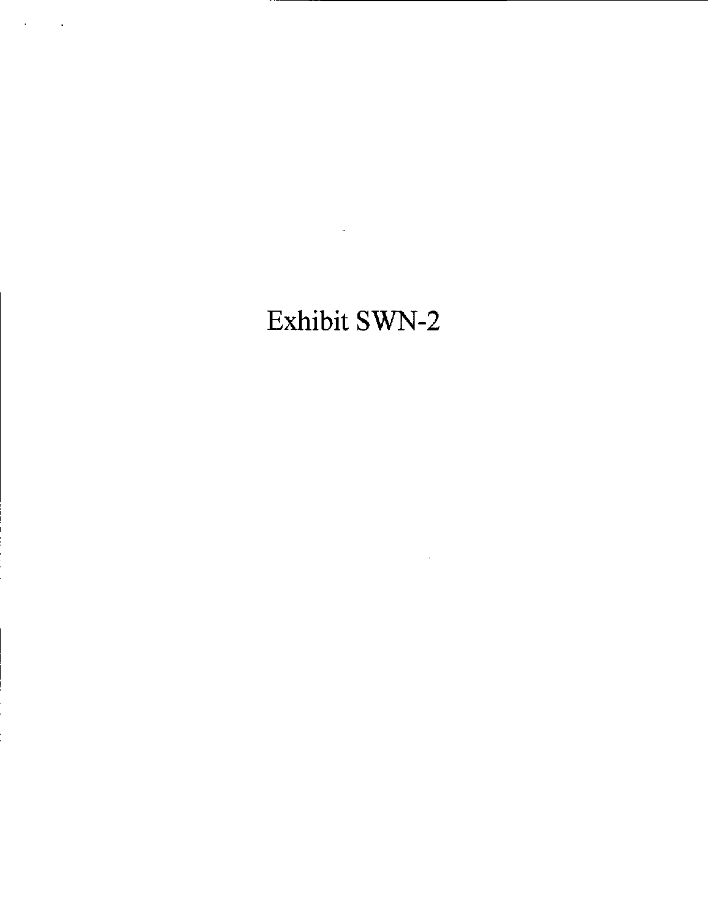# Exhibit SWN-2

 $\mathcal{L}(\mathcal{L}(\mathcal{L}))$  and  $\mathcal{L}(\mathcal{L}(\mathcal{L}))$  . The contribution of  $\mathcal{L}(\mathcal{L})$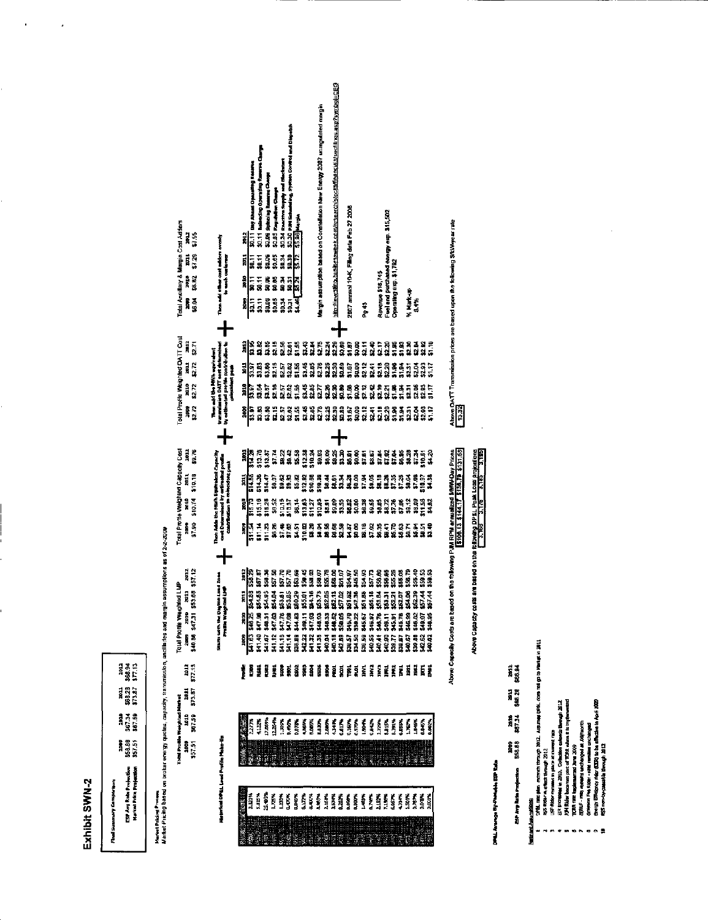# Exhibit SWN-2

| <b>Final Summary Cemperison</b>                                                                                    |                               |                 |                |             |         |
|--------------------------------------------------------------------------------------------------------------------|-------------------------------|-----------------|----------------|-------------|---------|
| ESP Ang Rain Projection                                                                                            | \$50.80<br>i                  | 367.34<br>23128 | \$68.28<br>ă   | ă<br>318.94 |         |
| <b>Market Price Projection</b>                                                                                     | \$7.51                        | \$87.50         | \$73.87        | \$7.13      |         |
|                                                                                                                    |                               |                 |                |             |         |
| Market Pricing based on broker energy quotes, capacity, transmission, ancillarite<br><b>Hartet Pricing Process</b> |                               |                 |                |             |         |
|                                                                                                                    | Total Profile Weighted Harket |                 |                |             | Total f |
|                                                                                                                    | 300                           | i               | ä              | 3012        | Š       |
|                                                                                                                    | i                             | is a service of | <b>CO 0.50</b> | ----        | i       |

parity renergy quotes,



m 3 r o

3  $\frac{8}{2}$ i T ।<br>अ≌<br>पुष्प DPEL PEL<br>C  $\frac{1}{2}$ 

=

o

•i

LJ

DPS-Anamgo By-Pamable ESP Rate

**Fortinue Assumptions** 

ing play, extends through<br>by revisible in 2010, College and the contexts in 2012, College<br>wides in 2010, College and the college and the college and the college and<br>the college and the college of the college and the colleg i<br>Pihsan<br>Pihsan<br>Pihsan

 $\bullet$   $\bullet$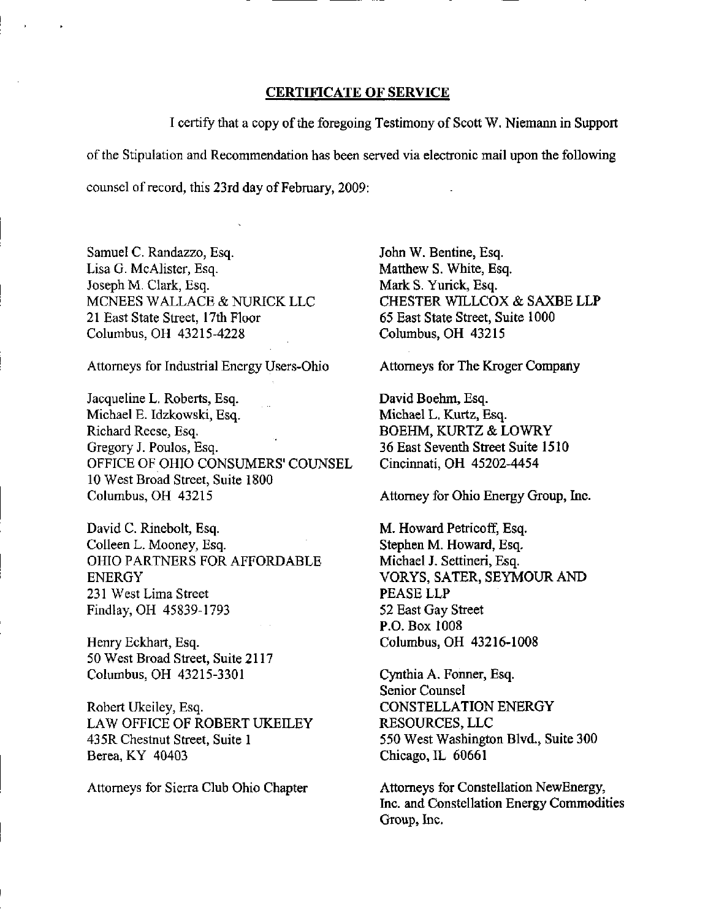### CERTIFICATE OF SERVICE

I certify that a copy of the foregoing Testimony of Scott W. Niemann in Support of the Stipulation and Recommendation has been served via electronic mail upon the following counsel of record, this 23rd day of February, 2009:

Samuel C. Randazzo, Esq. Lisa G. McAlister, Esq. Joseph M. Clark, Esq. MCNEES WALLACE & NURICK LLC 21 East State Street, 17th Floor Columbus, OH 43215-4228

Attorneys for Industrial Energy Users-Ohio

Jacqueline L. Roberts, Esq. Michael E. Idzkowski, Esq. Richard Reese, Esq. Gregory J. Poulos, Esq. OFFICE OF OHIO CONSUMERS' COUNSEL 10 West Broad Street, Suite 1800 Columbus, OH 43215

David C. Rinebolt, Esq. Colleen L. Mooney, Esq. OHIO PARTNERS FOR AFFORDABLE ENERGY 231 West Lima Street Findlay, OH 45839-1793

Henry Eckhart, Esq. 50 West Broad Street, Suite 2117 Columbus, OH 43215-3301

Robert Ukeiley, Esq. LAW OFFICE OF ROBERT UKEILEY 43 5R Chestnut Street, Suite 1 Berea, KY 40403

Attorneys for Sierra Club Ohio Chapter

John W. Bentine, Esq. Matthew S. White, Esq. Mark S. Yurick, Esq. CHESTER WILLCOX & SAXBE LLP 65 East State Street, Suite 1000 Columbus, OH 43215

Attorneys for The Kroger Company

David Boehm, Esq. Michael L. Kurtz, Esq. BOEHM, KURTZ & LOWRY 36 East Seventh Street Suite 1510 Cincinnati, OH 45202-4454

Attorney for Ohio Energy Group, Inc.

M. Howard Petricoff, Esq. Stephen M. Howard, Esq, Michael J. Settineri, Esq. VORYS, SATER, SEYMOUR AND PEASE LLP 52 East Gay Street P.O. Box 1008 Columbus, OH 43216-1008

Cynthia A. Fonner, Esq. Senior Counsel CONSTELLATION ENERGY RESOURCES, LLC 550 West Washington Blvd., Suite 300 Chicago, IL 60661

Attorneys for Constellation NewEnergy, Inc. and Constellation Energy Commodities Group, Inc.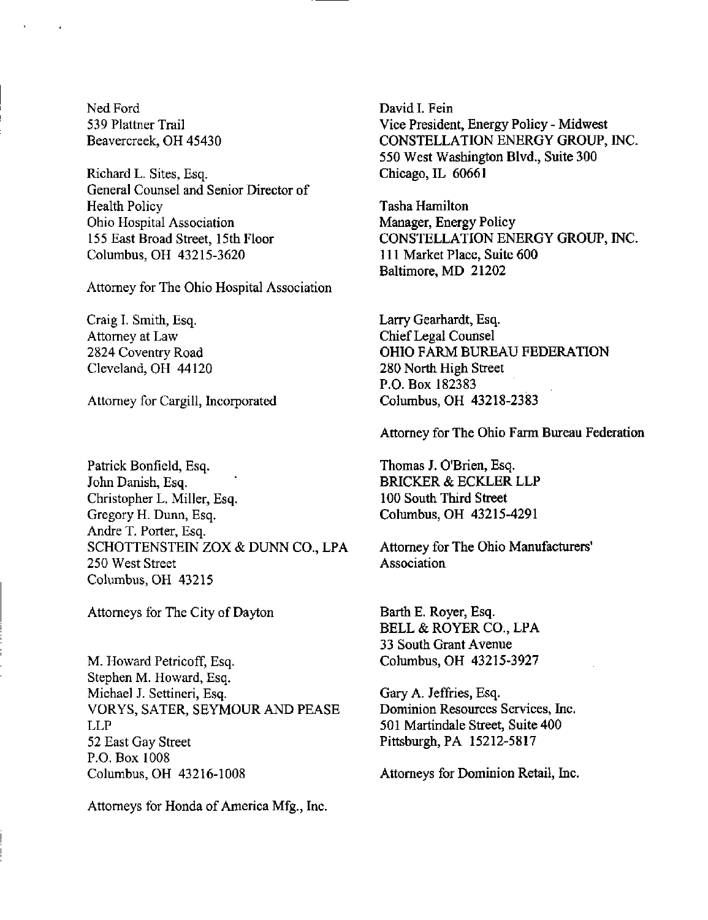Ned Ford 539 Plattner Trail Beavercreek, OH 45430

Richard L. Sites, Esq. General Counsel and Senior Director of Health Policy Ohio Hospital Association 155 East Broad Street, 15th Floor Columbus, OH 43215-3620

Attorney for The Ohio Hospital Association

Craig I. Smith, Esq. Attorney at Law 2824 Coventry Road Cleveland, OH 44120

Attorney for Cargill, Incorporated

Patrick Bonfieid, Esq. John Danish, Esq. Christopher L. Miller, Esq. Gregory H. Dunn, Esq. Andre T. Porter, Esq. SCHOTTENSTEIN ZOX & DUNN CO., LPA 250 West Street Columbus, OH 43215

Attorneys for The City of Dayton

M. Howard Petricoff, Esq. Stephen M. Howard, Esq. Michael J. Settineri, Esq. VORYS, SATER, SEYMOUR AND PEASE LLP 52 East Gay Street P.O. Box 1008 Columbus, OH 43216-1008

Attorneys for Honda of America Mfg., Inc.

David I. Fein Vice President, Energy Policy - Midwest CONSTELLATION ENERGY GROUP, INC. 550 West Washington Blvd., Suite 300 Chicago, IL 60661

Tasha Hamilton Manager, Energy Policy CONSTELLATION ENERGY GROUP, INC. 111 Market Place, Suite 600 Baltimore, MD 21202

Larry Gearhardt, Esq. Chief Legal Counsel OHIO FARM BUREAU FEDERATION 280 North High Street P.O. Box 182383 Columbus, OH 43218-2383

Attorney for The Ohio Farm Bureau Federation

Thomas J. O'Brien, Esq. BRICKER & ECKLER LLP 100 South Third Street Columbus, OH 43215-4291

Attorney for The Ohio Manufacturers' **Association** 

Barth E. Royer, Esq. BELL & ROYER CO., LPA 33 South Grant Avenue Columbus, OH 43215-3927

Gary A. Jeffries, Esq. Dominion Resources Services, Inc. 501 Martindale Street, Suite 400 Pittsburgh, PA 15212-5817

Attorneys for Dominion Retail, Inc.